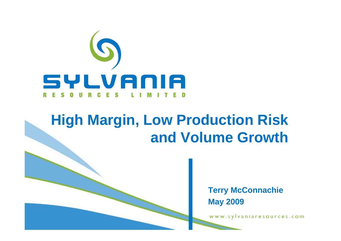

# **High Margin, Low Production Risk and Volume Growth**

**Terry McConnachie May 2009**

www.sylvaniaresources.com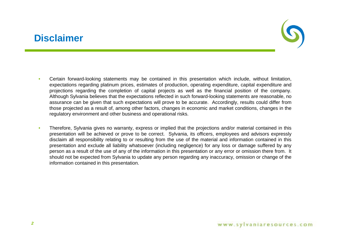### **Disclaimer**



- • Certain forward-looking statements may be contained in this presentation which include, without limitation, expectations regarding platinum prices, estimates of production, operating expenditure, capital expenditure and projections regarding the completion of capital projects as well as the financial position of the company. Although Sylvania believes that the expectations reflected in such forward-looking statements are reasonable, no assurance can be given that such expectations will prove to be accurate. Accordingly, results could differ from those projected as <sup>a</sup> result of, among other factors, changes in economic and market conditions, changes in the regulatory environment and other business and operational risks.
- • Therefore, Sylvania gives no warranty, express or implied that the projections and/or material contained in this presentation will be achieved or prove to be correct. Sylvania, its officers, employees and advisors expressly disclaim all responsibility relating to or resulting from the use of the material and information contained in this presentation and exclude all liability whatsoever (including negligence) for any loss or damage suffered by any person as <sup>a</sup> result of the use of any of the information in this presentation or any error or omission there from. It should not be expected from Sylvania to update any person regarding any inaccuracy, omission or change of the information contained in this presentation.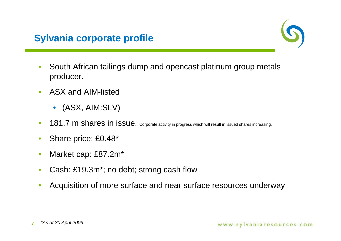

- • South African tailings dump and opencast platinum group metals producer.
- $\bullet$  ASX and AIM-listed
	- $\bullet$ (ASX, AIM:SLV)
- •181.7 m shares in issue. Corporate activity in progress which will result in issued shares increasing.
- •Share price: £0.48\*
- •Market cap: £87.2m\*
- •Cash: £19.3m\*; no debt; strong cash flow
- •Acquisition of more surface and near surface resources underway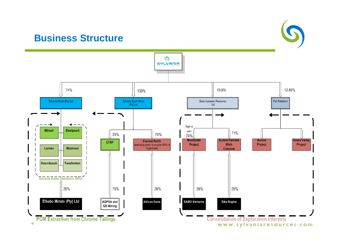### **Business Structure**



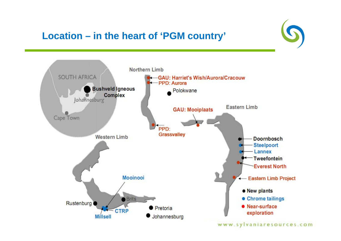## **Location – in the heart of 'PGM country'**



www.sylvaniaresources.com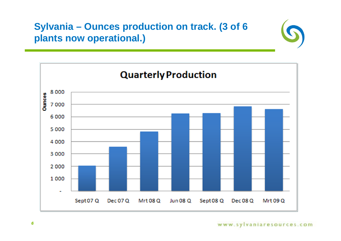### **Sylvania – Ounces production on track. (3 of 6 plants now operational.)**

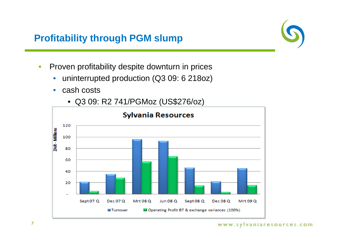### **Profitability through PGM slump**

- • Proven profitability despite downturn in prices
	- $\bullet$ uninterrupted production (Q3 09: 6 218oz)
	- $\bullet$ cash costs
	- **Sylvania Resources** 120 ZAR - Millions 100 80 60 40 20 Sept 07 Q **Dec 07 Q Mrt 08 Q Jun 08 Q** Sept 08<sub>Q</sub> **Dec 08 Q** Mrt 09 Q ■ Operating Profit BT & exchange variances (100%) **M**Turnover
- Q3 09: R2 741/PGMoz (US\$276/oz)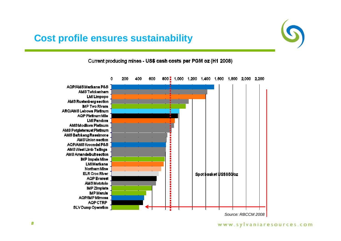### **Cost profile ensures sustainability**



Current producing mines - US\$ cash costs per PGM oz (H1 2008)



*Source: RBCCM 2008*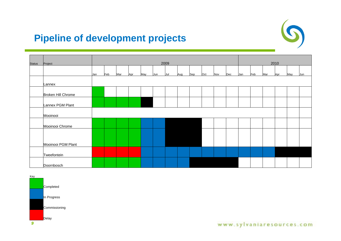### **Pipeline of development projects**



| <b>Status</b> | Project            |     | 2009 |     |     |     |     |     |     |     |     | 2010 |     |     |     |     |     |     |     |
|---------------|--------------------|-----|------|-----|-----|-----|-----|-----|-----|-----|-----|------|-----|-----|-----|-----|-----|-----|-----|
|               |                    | Jan | Feb  | Mar | Apr | May | Jun | Jul | Aug | Sep | Oct | Nov  | Dec | Jan | Feb | Mar | Apr | May | Jun |
|               | Lannex             |     |      |     |     |     |     |     |     |     |     |      |     |     |     |     |     |     |     |
|               | Broken Hill Chrome |     |      |     |     |     |     |     |     |     |     |      |     |     |     |     |     |     |     |
|               | Lannex PGM Plant   |     |      |     |     |     |     |     |     |     |     |      |     |     |     |     |     |     |     |
|               | Mooinooi           |     |      |     |     |     |     |     |     |     |     |      |     |     |     |     |     |     |     |
|               | Mooinooi Chrome    |     |      |     |     |     |     |     |     |     |     |      |     |     |     |     |     |     |     |
|               |                    |     |      |     |     |     |     |     |     |     |     |      |     |     |     |     |     |     |     |
|               | Mooinooi PGM Plant |     |      |     |     |     |     |     |     |     |     |      |     |     |     |     |     |     |     |
|               | Tweefontein        |     |      |     |     |     |     |     |     |     |     |      |     |     |     |     |     |     |     |
|               | Doornbosch         |     |      |     |     |     |     |     |     |     |     |      |     |     |     |     |     |     |     |

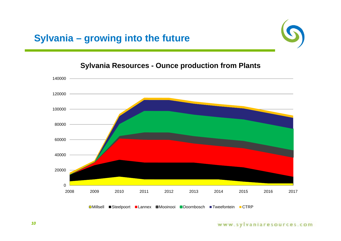### **Sylvania – growing into the future**



### **Sylvania Resources - Ounce production from Plants**



#### www.sylvaniaresources.com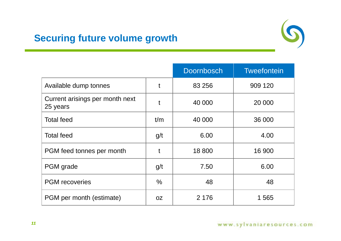### **Securing future volume growth**



|                                             |               | <b>Doornbosch</b> | <b>Tweefontein</b> |
|---------------------------------------------|---------------|-------------------|--------------------|
| Available dump tonnes                       | t             | 83 256            | 909 120            |
| Current arisings per month next<br>25 years | t             | 40 000            | 20 000             |
| <b>Total feed</b>                           | t/m           | 40 000            | 36 000             |
| <b>Total feed</b>                           | g/t           | 6.00              | 4.00               |
| PGM feed tonnes per month                   | t             | 18 800            | 16 900             |
| PGM grade                                   | g/t           | 7.50              | 6.00               |
| <b>PGM</b> recoveries                       | $\frac{0}{0}$ | 48                | 48                 |
| PGM per month (estimate)                    | <b>OZ</b>     | 2 1 7 6           | 1 565              |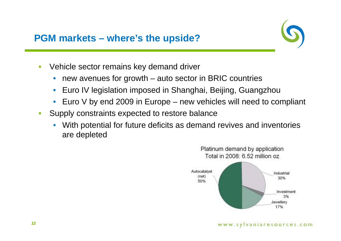**PGM markets – where's the upside?**



- • Vehicle sector remains key demand driver
	- •new avenues for growth – auto sector in BRIC countries
	- $\bullet$ Euro IV legislation imposed in Shanghai, Beijing, Guangzhou
	- •Euro V by end 2009 in Europe – new vehicles will need to compliant
- • Supply constraints expected to restore balance
	- • With potential for future deficits as demand revives and inventories are depleted

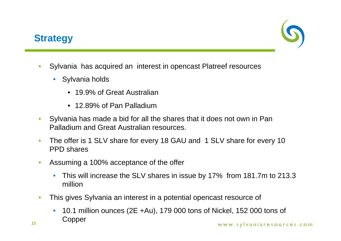### **Strategy**



- • Sylvania has acquired an interest in opencast Platreef resources
	- Sylvania holds
		- 19.9% of Great Australian
		- 12.89% of Pan Palladium
- $\bullet$  Sylvania has made a bid for all the shares that it does not own in Pan Palladium and Great Australian resources.
- • The offer is 1 SLV share for every 18 GAU and 1 SLV share for every 10 PPD shares
- • Assuming a 100% acceptance of the offer
	- • This will increase the SLV shares in issue by 17% from 181.7m to 213.3 million
- $\bullet$  This gives Sylvania an interest in a potential opencast resource of
	- $\bullet$  10.1 million ounces (2E +Au), 179 000 tons of Nickel, 152 000 tons of Copper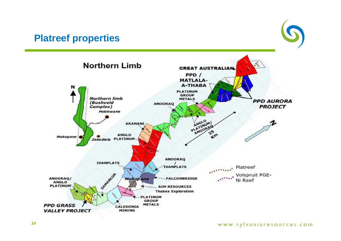### **Platreef properties**



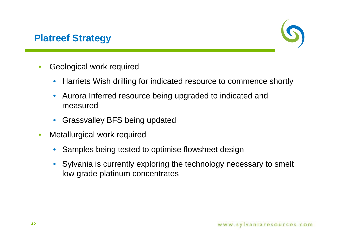### **Platreef Strategy**



- • Geological work required
	- $\bullet$ Harriets Wish drilling for indicated resource to commence shortly
	- $\bullet$  Aurora Inferred resource being upgraded to indicated and measured
	- $\bullet$ Grassvalley BFS being updated
- • Metallurgical work required
	- •Samples being tested to optimise flowsheet design
	- Sylvania is currently exploring the technology necessary to smelt low grade platinum concentrates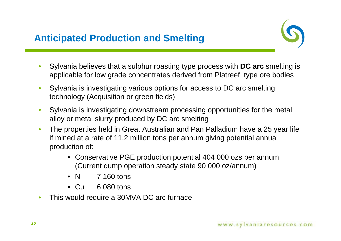

- • Sylvania believes that a sulphur roasting type process with **DC arc** smelting is applicable for low grade concentrates derived from Platreef type ore bodies
- • Sylvania is investigating various options for access to DC arc smelting technology (Acquisition or green fields)
- $\bullet$  Sylvania is investigating downstream processing opportunities for the metal alloy or metal slurry produced by DC arc smelting
- $\bullet$  The properties held in Great Australian and Pan Palladium have a 25 year life if mined at a rate of 11.2 million tons per annum giving potential annual production of:
	- Conservative PGE production potential 404 000 ozs per annum (Current dump operation steady state 90 000 oz/annum)
	- Ni 7 160 tons
	- $\bullet$  Cu 6 080 tons
- •This would require a 30MVA DC arc furnace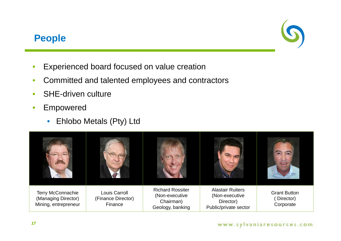

### **People**

- •Experienced board focused on value creation
- •Committed and talented employees and contractors
- •SHE-driven culture
- • Empowered
	- $\bullet$ Ehlobo Metals (Pty) Ltd



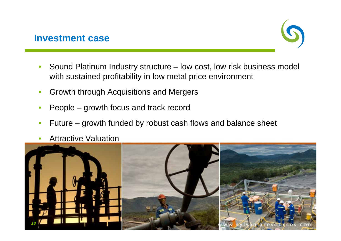

- • Sound Platinum Industry structure – low cost, low risk business model with sustained profitability in low metal price environment
- •Growth through Acquisitions and Mergers
- •People – growth focus and track record
- •Future – growth funded by robust cash flows and balance sheet
- •Attractive Valuation